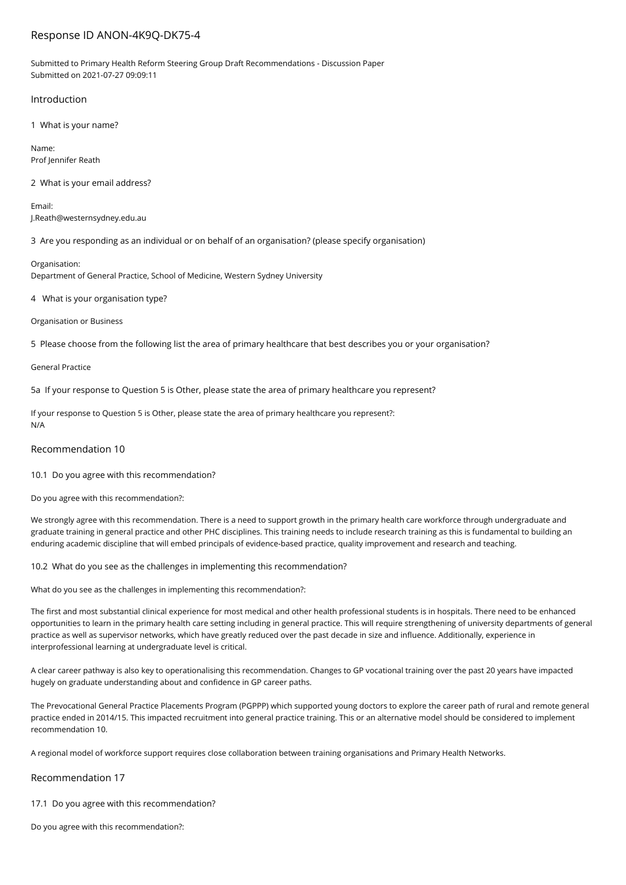# Response ID ANON-4K9Q-DK75-4

Submitted to Primary Health Reform Steering Group Draft Recommendations - Discussion Paper Submitted on 2021-07-27 09:09:11

## Introduction

1 What is your name?

Name: Prof Jennifer Reath

2 What is your email address?

Email: J.Reath@westernsydney.edu.au

3 Are you responding as an individual or on behalf of an organisation? (please specify organisation)

Organisation: Department of General Practice, School of Medicine, Western Sydney University

4 What is your organisation type?

Organisation or Business

5 Please choose from the following list the area of primary healthcare that best describes you or your organisation?

#### General Practice

5a If your response to Question 5 is Other, please state the area of primary healthcare you represent?

If your response to Question 5 is Other, please state the area of primary healthcare you represent?: N/A

## Recommendation 10

10.1 Do you agree with this recommendation?

Do you agree with this recommendation?:

We strongly agree with this recommendation. There is a need to support growth in the primary health care workforce through undergraduate and graduate training in general practice and other PHC disciplines. This training needs to include research training as this is fundamental to building an enduring academic discipline that will embed principals of evidence-based practice, quality improvement and research and teaching.

#### 10.2 What do you see as the challenges in implementing this recommendation?

What do you see as the challenges in implementing this recommendation?:

The first and most substantial clinical experience for most medical and other health professional students is in hospitals. There need to be enhanced opportunities to learn in the primary health care setting including in general practice. This will require strengthening of university departments of general practice as well as supervisor networks, which have greatly reduced over the past decade in size and influence. Additionally, experience in interprofessional learning at undergraduate level is critical.

A clear career pathway is also key to operationalising this recommendation. Changes to GP vocational training over the past 20 years have impacted hugely on graduate understanding about and confidence in GP career paths.

The Prevocational General Practice Placements Program (PGPPP) which supported young doctors to explore the career path of rural and remote general practice ended in 2014/15. This impacted recruitment into general practice training. This or an alternative model should be considered to implement recommendation 10.

A regional model of workforce support requires close collaboration between training organisations and Primary Health Networks.

# Recommendation 17

#### 17.1 Do you agree with this recommendation?

Do you agree with this recommendation?: